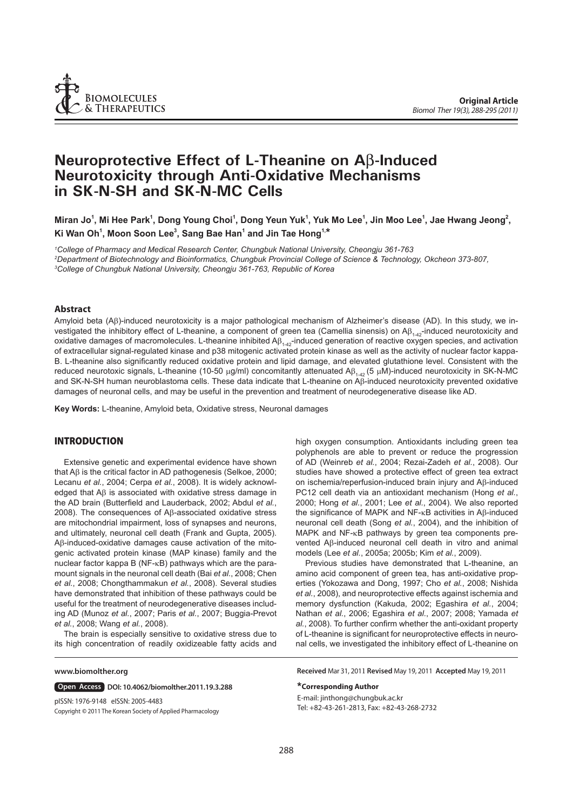

# **Neuroprotective Effect of L-Theanine on A**β**-Induced Neurotoxicity through Anti-Oxidative Mechanisms in SK-N-SH and SK-N-MC Cells**

Miran Jo<sup>1</sup>, Mi Hee Park<sup>1</sup>, Dong Young Choi<sup>1</sup>, Dong Yeun Yuk<sup>1</sup>, Yuk Mo Lee<sup>1</sup>, Jin Moo Lee<sup>1</sup>, Jae Hwang Jeong<sup>2</sup>, **Ki Wan Oh1 , Moon Soon Lee3 , Sang Bae Han1 and Jin Tae Hong1,\***

*1 College of Pharmacy and Medical Research Center, Chungbuk National University, Cheongju 361-763 2 Department of Biotechnology and Bioinformatics, Chungbuk Provincial College of Science & Technology, Okcheon 373-807, 3 College of Chungbuk National University, Cheongju 361-763, Republic of Korea*

# **Abstract**

Amyloid beta (Aβ)-induced neurotoxicity is a major pathological mechanism of Alzheimer's disease (AD). In this study, we investigated the inhibitory effect of L-theanine, a component of green tea (Camellia sinensis) on Aβ<sub>1-42</sub>-induced neurotoxicity and oxidative damages of macromolecules. L-theanine inhibited  $AB_{1+42}$ -induced generation of reactive oxygen species, and activation of extracellular signal-regulated kinase and p38 mitogenic activated protein kinase as well as the activity of nuclear factor kappa-B. L-theanine also significantly reduced oxidative protein and lipid damage, and elevated glutathione level. Consistent with the reduced neurotoxic signals, L-theanine (10-50 μg/ml) concomitantly attenuated Aβ<sub>142</sub> (5 μM)-induced neurotoxicity in SK-N-MC and SK-N-SH human neuroblastoma cells. These data indicate that L-theanine on Aβ-induced neurotoxicity prevented oxidative damages of neuronal cells, and may be useful in the prevention and treatment of neurodegenerative disease like AD.

**Key Words:** L-theanine, Amyloid beta, Oxidative stress, Neuronal damages

# **INTRODUCTION**

Extensive genetic and experimental evidence have shown that Aβ is the critical factor in AD pathogenesis (Selkoe, 2000; Lecanu *et al.*, 2004; Cerpa *et al.*, 2008). It is widely acknowledged that Aβ is associated with oxidative stress damage in the AD brain (Butterfield and Lauderback, 2002; Abdul *et al.*, 2008). The consequences of Aβ-associated oxidative stress are mitochondrial impairment, loss of synapses and neurons, and ultimately, neuronal cell death (Frank and Gupta, 2005). Aβ-induced-oxidative damages cause activation of the mitogenic activated protein kinase (MAP kinase) family and the nuclear factor kappa B (NF-κB) pathways which are the paramount signals in the neuronal cell death (Bai *et al.*, 2008; Chen *et al.*, 2008; Chongthammakun *et al.*, 2008). Several studies have demonstrated that inhibition of these pathways could be useful for the treatment of neurodegenerative diseases including AD (Munoz *et al.*, 2007; Paris *et al.*, 2007; Buggia-Prevot *et al.*, 2008; Wang *et al.*, 2008).

The brain is especially sensitive to oxidative stress due to its high concentration of readily oxidizeable fatty acids and

#### **www.biomolther.org**

**Open Access | DOI: 10.4062/biomolther.2011.19.3.288** 

Copyright **©** 2011 The Korean Society of Applied Pharmacology pISSN: 1976-9148 eISSN: 2005-4483

high oxygen consumption. Antioxidants including green tea polyphenols are able to prevent or reduce the progression of AD (Weinreb *et al.*, 2004; Rezai-Zadeh *et al.*, 2008). Our studies have showed a protective effect of green tea extract on ischemia/reperfusion-induced brain injury and Aβ-induced PC12 cell death via an antioxidant mechanism (Hong *et al.*, 2000; Hong *et al.*, 2001; Lee *et al.*, 2004). We also reported the significance of MAPK and NF-κB activities in Aβ-induced neuronal cell death (Song *et al.*, 2004), and the inhibition of MAPK and NF-κB pathways by green tea components prevented Aβ-induced neuronal cell death in vitro and animal models (Lee *et al.*, 2005a; 2005b; Kim *et al.*, 2009).

Previous studies have demonstrated that L-theanine, an amino acid component of green tea, has anti-oxidative properties (Yokozawa and Dong, 1997; Cho *et al.*, 2008; Nishida *et al.*, 2008), and neuroprotective effects against ischemia and memory dysfunction (Kakuda, 2002; Egashira *et al.*, 2004; Nathan *et al.*, 2006; Egashira *et al.*, 2007; 2008; Yamada *et*  al., 2008). To further confirm whether the anti-oxidant property of L-theanine is significant for neuroprotective effects in neuronal cells, we investigated the inhibitory effect of L-theanine on

**Received** Mar 31, 2011 **Revised** May 19, 2011 **Accepted** May 19, 2011

#### **\*Corresponding Author**

E-mail: jinthong@chungbuk.ac.kr Tel: +82-43-261-2813, Fax: +82-43-268-2732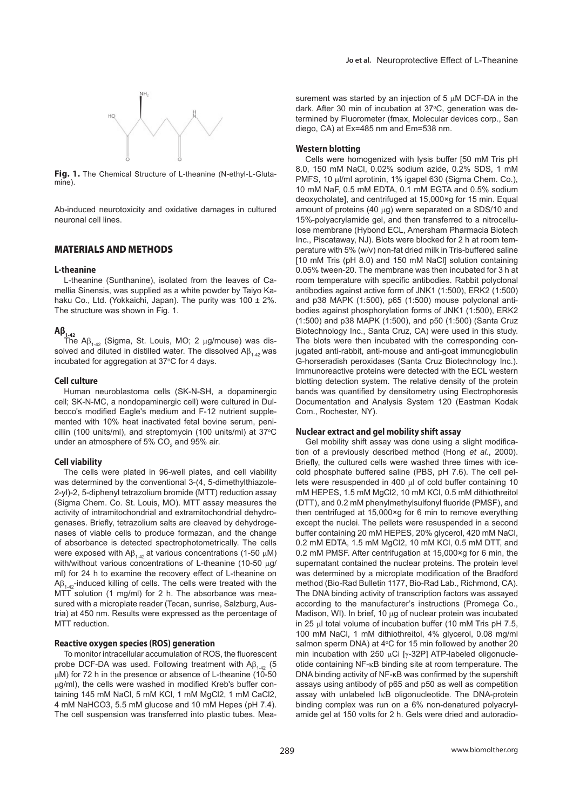

Fig. 1. The Chemical Structure of L-theanine (N-ethyl-L-Glutamine).

Ab-induced neurotoxicity and oxidative damages in cultured neuronal cell lines.

# **MATERIALS AND METHODS**

#### **L-theanine**

L-theanine (Sunthanine), isolated from the leaves of Camellia Sinensis, was supplied as a white powder by Taiyo Kahaku Co., Ltd. (Yokkaichi, Japan). The purity was 100 ± 2%. The structure was shown in Fig. 1.

# $Aβ_{1-42}$

The A $\beta_{1-42}$  (Sigma, St. Louis, MO; 2 μg/mouse) was dissolved and diluted in distilled water. The dissolved  $AB_{1-42}$  was incubated for aggregation at 37°C for 4 days.

#### **Cell culture**

Human neuroblastoma cells (SK-N-SH, a dopaminergic cell; SK-N-MC, a nondopaminergic cell) were cultured in Dulbecco's modified Eagle's medium and F-12 nutrient supplemented with 10% heat inactivated fetal bovine serum, penicillin (100 units/ml), and streptomycin (100 units/ml) at  $37^{\circ}$ C under an atmosphere of 5% CO<sub>2</sub> and 95% air.

#### **Cell viability**

The cells were plated in 96-well plates, and cell viability was determined by the conventional 3-(4, 5-dimethylthiazole-2-yl)-2, 5-diphenyl tetrazolium bromide (MTT) reduction assay (Sigma Chem. Co. St. Louis, MO). MTT assay measures the activity of intramitochondrial and extramitochondrial dehydrogenases. Briefly, tetrazolium salts are cleaved by dehydrogenases of viable cells to produce formazan, and the change of absorbance is detected spectrophotometrically. The cells were exposed with  $AB_{1-42}$  at various concentrations (1-50  $\mu$ M) with/without various concentrations of L-theanine (10-50 μg/ ml) for 24 h to examine the recovery effect of L-theanine on  $AB_{1-42}$ -induced killing of cells. The cells were treated with the MTT solution (1 mg/ml) for 2 h. The absorbance was measured with a microplate reader (Tecan, sunrise, Salzburg, Austria) at 450 nm. Results were expressed as the percentage of MTT reduction.

#### **Reactive oxygen species (ROS) generation**

To monitor intracellular accumulation of ROS, the fluorescent probe DCF-DA was used. Following treatment with  $AB_{1+42}$  (5 μM) for 72 h in the presence or absence of L-theanine (10-50 μg/ml), the cells were washed in modified Kreb's buffer containing 145 mM NaCl, 5 mM KCl, 1 mM MgCl2, 1 mM CaCl2, 4 mM NaHCO3, 5.5 mM glucose and 10 mM Hepes (pH 7.4). The cell suspension was transferred into plastic tubes. Measurement was started by an injection of 5 μM DCF-DA in the dark. After 30 min of incubation at 37°C, generation was determined by Fluorometer (fmax, Molecular devices corp., San diego, CA) at Ex=485 nm and Em=538 nm.

# **Western blotting**

Cells were homogenized with lysis buffer [50 mM Tris pH 8.0, 150 mM NaCl, 0.02% sodium azide, 0.2% SDS, 1 mM PMFS, 10 μl/ml aprotinin, 1% igapel 630 (Sigma Chem. Co.), 10 mM NaF, 0.5 mM EDTA, 0.1 mM EGTA and 0.5% sodium deoxycholate], and centrifuged at 15,000×g for 15 min. Equal amount of proteins (40 μg) were separated on a SDS/10 and 15%-polyacrylamide gel, and then transferred to a nitrocellulose membrane (Hybond ECL, Amersham Pharmacia Biotech Inc., Piscataway, NJ). Blots were blocked for 2 h at room temperature with 5% (w/v) non-fat dried milk in Tris-buffered saline [10 mM Tris (pH 8.0) and 150 mM NaCl] solution containing 0.05% tween-20. The membrane was then incubated for 3 h at room temperature with specific antibodies. Rabbit polyclonal antibodies against active form of JNK1 (1:500), ERK2 (1:500) and p38 MAPK (1:500), p65 (1:500) mouse polyclonal antibodies against phosphorylation forms of JNK1 (1:500), ERK2 (1:500) and p38 MAPK (1:500), and p50 (1:500) (Santa Cruz Biotechnology Inc., Santa Cruz, CA) were used in this study. The blots were then incubated with the corresponding conjugated anti-rabbit, anti-mouse and anti-goat immunoglobulin G-horseradish peroxidases (Santa Cruz Biotechnology Inc.). Immunoreactive proteins were detected with the ECL western blotting detection system. The relative density of the protein bands was quantified by densitometry using Electrophoresis Documentation and Analysis System 120 (Eastman Kodak Com., Rochester, NY).

#### **Nuclear extract and gel mobility shift assay**

Gel mobility shift assay was done using a slight modification of a previously described method (Hong *et al.*, 2000). Briefly, the cultured cells were washed three times with icecold phosphate buffered saline (PBS, pH 7.6). The cell pellets were resuspended in 400 μl of cold buffer containing 10 mM HEPES, 1.5 mM MgCl2, 10 mM KCl, 0.5 mM dithiothreitol (DTT), and 0.2 mM phenylmethylsulfonyl fluoride (PMSF), and then centrifuged at 15,000×g for 6 min to remove everything except the nuclei. The pellets were resuspended in a second buffer containing 20 mM HEPES, 20% glycerol, 420 mM NaCl, 0.2 mM EDTA, 1.5 mM MgCl2, 10 mM KCl, 0.5 mM DTT, and 0.2 mM PMSF. After centrifugation at 15,000×g for 6 min, the supernatant contained the nuclear proteins. The protein level was determined by a microplate modification of the Bradford method (Bio-Rad Bulletin 1177, Bio-Rad Lab., Richmond, CA). The DNA binding activity of transcription factors was assayed according to the manufacturer's instructions (Promega Co., Madison, WI). In brief, 10 μg of nuclear protein was incubated in 25 μl total volume of incubation buffer (10 mM Tris pH 7.5, 100 mM NaCl, 1 mM dithiothreitol, 4% glycerol, 0.08 mg/ml salmon sperm DNA) at  $4^{\circ}$ C for 15 min followed by another 20 min incubation with 250 μCi [γ-32P] ATP-labeled oligonucleotide containing NF-κB binding site at room temperature. The DNA binding activity of NF-κB was confirmed by the supershift assays using antibody of p65 and p50 as well as competition assay with unlabeled I<sub>K</sub>B oligonucleotide. The DNA-protein binding complex was run on a 6% non-denatured polyacrylamide gel at 150 volts for 2 h. Gels were dried and autoradio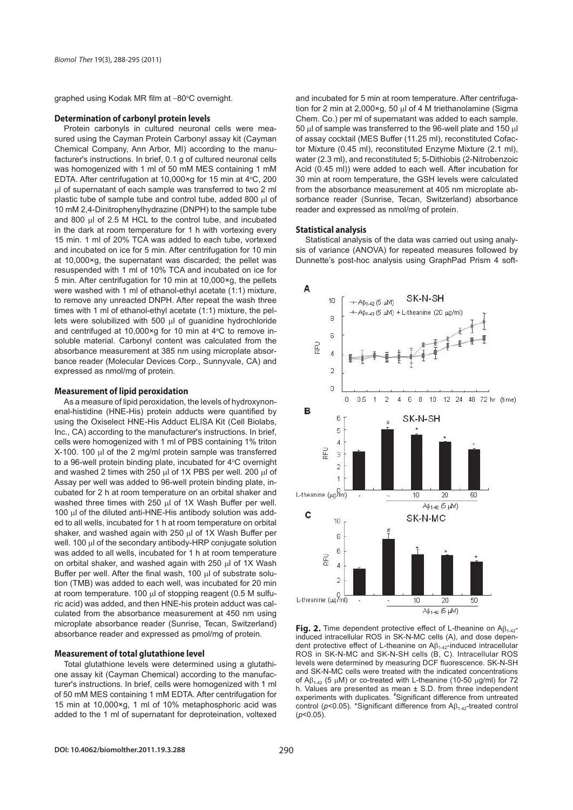graphed using Kodak MR film at -80°C overnight.

#### **Determination of carbonyl protein levels**

Protein carbonyls in cultured neuronal cells were measured using the Cayman Protein Carbonyl assay kit (Cayman Chemical Company, Ann Arbor, MI) according to the manufacturer's instructions. In brief, 0.1 g of cultured neuronal cells was homogenized with 1 ml of 50 mM MES containing 1 mM EDTA. After centrifugation at  $10,000 \times g$  for 15 min at  $4°C$ , 200 μl of supernatant of each sample was transferred to two 2 ml plastic tube of sample tube and control tube, added 800 μl of 10 mM 2,4-Dinitrophenylhydrazine (DNPH) to the sample tube and 800 μl of 2.5 M HCL to the control tube, and incubated in the dark at room temperature for 1 h with vortexing every 15 min. 1 ml of 20% TCA was added to each tube, vortexed and incubated on ice for 5 min. After centrifugation for 10 min at 10,000×g, the supernatant was discarded; the pellet was resuspended with 1 ml of 10% TCA and incubated on ice for 5 min. After centrifugation for 10 min at 10,000×g, the pellets were washed with 1 ml of ethanol-ethyl acetate (1:1) mixture, to remove any unreacted DNPH. After repeat the wash three times with 1 ml of ethanol-ethyl acetate (1:1) mixture, the pellets were solubilized with 500 μl of guanidine hydrochloride and centrifuged at 10,000 $\times$ g for 10 min at 4 $\rm ^{o}C$  to remove insoluble material. Carbonyl content was calculated from the absorbance measurement at 385 nm using microplate absorbance reader (Molecular Devices Corp., Sunnyvale, CA) and expressed as nmol/mg of protein.

### **Measurement of lipid peroxidation**

As a measure of lipid peroxidation, the levels of hydroxynonenal-histidine (HNE-His) protein adducts were quantified by using the Oxiselect HNE-His Adduct ELISA Kit (Cell Biolabs, Inc., CA) according to the manufacturer's instructions. In brief, cells were homogenized with 1 ml of PBS containing 1% triton X-100. 100 μl of the 2 mg/ml protein sample was transferred to a 96-well protein binding plate, incubated for 4°C overnight and washed 2 times with 250 μl of 1X PBS per well. 200 μl of Assay per well was added to 96-well protein binding plate, incubated for 2 h at room temperature on an orbital shaker and washed three times with 250 μl of 1X Wash Buffer per well. 100 μl of the diluted anti-HNE-His antibody solution was added to all wells, incubated for 1 h at room temperature on orbital shaker, and washed again with 250 μl of 1X Wash Buffer per well. 100 μl of the secondary antibody-HRP conjugate solution was added to all wells, incubated for 1 h at room temperature on orbital shaker, and washed again with 250 μl of 1X Wash Buffer per well. After the final wash, 100 μl of substrate solution (TMB) was added to each well, was incubated for 20 min at room temperature. 100 μl of stopping reagent (0.5 M sulfuric acid) was added, and then HNE-his protein adduct was calculated from the absorbance measurement at 450 nm using microplate absorbance reader (Sunrise, Tecan, Switzerland) absorbance reader and expressed as pmol/mg of protein.

#### **Measurement of total glutathione level**

Total glutathione levels were determined using a glutathione assay kit (Cayman Chemical) according to the manufacturer's instructions. In brief, cells were homogenized with 1 ml of 50 mM MES containing 1 mM EDTA. After centrifugation for 15 min at 10,000×g, 1 ml of 10% metaphosphoric acid was added to the 1 ml of supernatant for deproteination, voltexed

and incubated for 5 min at room temperature. After centrifugation for 2 min at 2,000×g, 50 μl of 4 M triethanolamine (Sigma Chem. Co.) per ml of supernatant was added to each sample. 50 μl of sample was transferred to the 96-well plate and 150 μl of assay cocktail (MES Buffer (11.25 ml), reconstituted Cofactor Mixture (0.45 ml), reconstituted Enzyme Mixture (2.1 ml), water (2.3 ml), and reconstituted 5; 5-Dithiobis (2-Nitrobenzoic Acid (0.45 ml)) were added to each well. After incubation for 30 min at room temperature, the GSH levels were calculated from the absorbance measurement at 405 nm microplate absorbance reader (Sunrise, Tecan, Switzerland) absorbance reader and expressed as nmol/mg of protein.

#### **Statistical analysis**

Statistical analysis of the data was carried out using analysis of variance (ANOVA) for repeated measures followed by Dunnette's post-hoc analysis using GraphPad Prism 4 soft-



**Fig. 2.** Time dependent protective effect of L-theanine on Aβ<sub>1-42</sub>induced intracellular ROS in SK-N-MC cells (A), and dose dependent protective effect of L-theanine on  $A\beta_{1\text{-}42}$ -induced intracellular ROS in SK-N-MC and SK-N-SH cells (B, C). Intracellular ROS levels were determined by measuring DCF fluorescence. SK-N-SH and SK-N-MC cells were treated with the indicated concentrations of Aβ<sub>1-42</sub> (5 μM) or co-treated with L-theanine (10-50 μg/ml) for 72 h. Values are presented as mean ± S.D. from three independent experiments with duplicates. "Significant difference from untreated control ( $p$ <0.05). \*Significant difference from  $A\beta_{1-42}$ -treated control (*p*<0.05).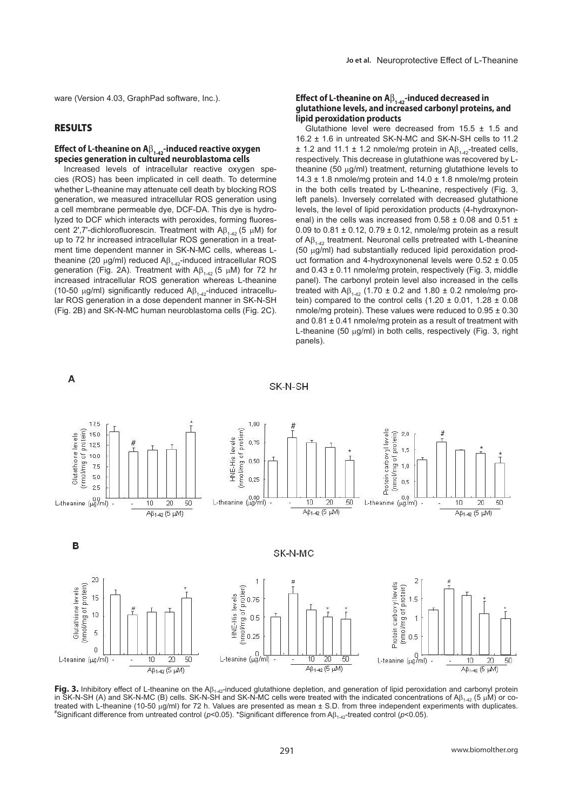ware (Version 4.03, GraphPad software, Inc.).

# **RESULTS**

A

### **Effect of L-theanine on A**β<sub>1-42</sub>-induced reactive oxygen **species generation in cultured neuroblastoma cells**

Increased levels of intracellular reactive oxygen species (ROS) has been implicated in cell death. To determine whether L-theanine may attenuate cell death by blocking ROS generation, we measured intracellular ROS generation using a cell membrane permeable dye, DCF-DA. This dye is hydrolyzed to DCF which interacts with peroxides, forming fluorescent 2',7'-dichlorofluorescin. Treatment with  $AB_{1,42}$  (5  $\mu$ M) for up to 72 hr increased intracellular ROS generation in a treatment time dependent manner in SK-N-MC cells, whereas Ltheanine (20 μg/ml) reduced  $\mathsf{AB}_{1-42}$ -induced intracellular ROS generation (Fig. 2A). Treatment with  $\mathsf{A}\beta_{1.42}$  (5 μM) for 72 hr increased intracellular ROS generation whereas L-theanine (10-50  $\mu$ g/ml) significantly reduced A $\beta$ <sub>1,42</sub>-induced intracellular ROS generation in a dose dependent manner in SK-N-SH (Fig. 2B) and SK-N-MC human neuroblastoma cells (Fig. 2C).

#### **Effect of L-theanine on A**β<sub>1-42</sub>-induced decreased in **glutathione levels, and increased carbonyl proteins, and lipid peroxidation products**

Glutathione level were decreased from  $15.5 \pm 1.5$  and 16.2 ± 1.6 in untreated SK-N-MC and SK-N-SH cells to 11.2  $\pm$  1.2 and 11.1  $\pm$  1.2 nmole/mg protein in A $\beta_{1.42}$ -treated cells, respectively. This decrease in glutathione was recovered by Ltheanine (50 μg/ml) treatment, returning glutathione levels to 14.3  $\pm$  1.8 nmole/mg protein and 14.0  $\pm$  1.8 nmole/mg protein in the both cells treated by L-theanine, respectively (Fig. 3, left panels). Inversely correlated with decreased glutathione levels, the level of lipid peroxidation products (4-hydroxynonenal) in the cells was increased from  $0.58 \pm 0.08$  and  $0.51 \pm 0.08$ 0.09 to  $0.81 \pm 0.12$ ,  $0.79 \pm 0.12$ , nmole/mg protein as a result of  $AB_{1,42}$  treatment. Neuronal cells pretreated with L-theanine (50 μg/ml) had substantially reduced lipid peroxidation product formation and 4-hydroxynonenal levels were 0.52 ± 0.05 and  $0.43 \pm 0.11$  nmole/mg protein, respectively (Fig. 3, middle panel). The carbonyl protein level also increased in the cells treated with A $\beta_{1,42}$  (1.70 ± 0.2 and 1.80 ± 0.2 nmole/mg protein) compared to the control cells  $(1.20 \pm 0.01, 1.28 \pm 0.08)$ nmole/mg protein). These values were reduced to  $0.95 \pm 0.30$ and  $0.81 \pm 0.41$  nmole/mg protein as a result of treatment with L-theanine (50 μg/ml) in both cells, respectively (Fig. 3, right panels).



SK-N-SH

Fig. 3. Inhibitory effect of L-theanine on the A $\beta_{1\rightarrow2}$ -induced glutathione depletion, and generation of lipid peroxidation and carbonyl protein in SK-N-SH (A) and SK-N-MC (B) cells. SK-N-SH and SK-N-MC cells were treated with the indicated concentrations of Aβ<sub>1-42</sub> (5 μM) or cotreated with L-theanine (10-50 μg/ml) for 72 h. Values are presented as mean  $±$  S.D. from three independent experiments with duplicates. <sup>\*</sup>Significant difference from untreated control (*p*<0.05). \*Significant difference from Aβ<sub>1-42</sub>-treated control (*p*<0.05).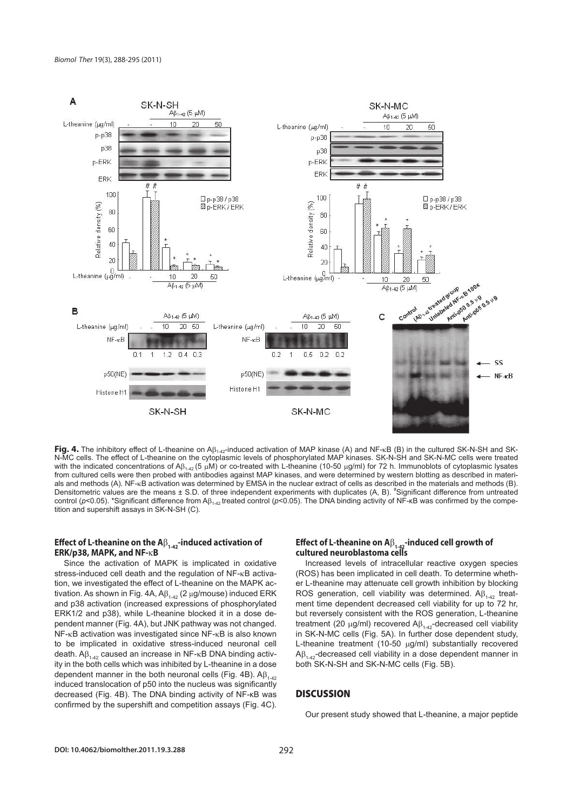

Fig. 4. The inhibitory effect of L-theanine on A $\beta_{1\text{-}42}$ -induced activation of MAP kinase (A) and NF-<sub>K</sub>B (B) in the cultured SK-N-SH and SK-<br>N-MC cells. The effect of L-theanine on the cytoplasmic levels of phosphory with the indicated concentrations of Aβ<sub>1-42</sub> (5 μM) or co-treated with L-theanine (10-50 μg/ml) for 72 h. Immunoblots of cytoplasmic lysates from cultured cells were then probed with antibodies against MAP kinases, and were determined by western blotting as described in materials and methods (A). NF-κB activation was determined by EMSA in the nuclear extract of cells as described in the materials and methods (B). Densitometric values are the means ± S.D. of three independent experiments with duplicates (A, B). \*Significant difference from untreated control ( $p$ <0.05). \*Significant difference from A $\beta_{142}$  treated control ( $p$ <0.05). The DNA binding activity of NF- $\kappa$ B was confirmed by the competition and supershift assays in SK-N-SH (C).

# **Effect of L-theanine on the A**β<sub>1-42</sub>-induced activation of **ERK/p38, MAPK, and NF-**κ**B**

Since the activation of MAPK is implicated in oxidative stress-induced cell death and the regulation of NF-κB activation, we investigated the effect of L-theanine on the MAPK activation. As shown in Fig. 4A,  $AB_{1\rightarrow 2}$  (2 µg/mouse) induced ERK and p38 activation (increased expressions of phosphorylated ERK1/2 and p38), while L-theanine blocked it in a dose dependent manner (Fig. 4A), but JNK pathway was not changed. NF-κB activation was investigated since NF-κB is also known to be implicated in oxidative stress-induced neuronal cell death.  $Aβ_{1-42}$  caused an increase in NF-κB DNA binding activity in the both cells which was inhibited by L-theanine in a dose dependent manner in the both neuronal cells (Fig. 4B).  $AB_{1-42}$ induced translocation of p50 into the nucleus was significantly decreased (Fig. 4B). The DNA binding activity of NF-κB was confirmed by the supershift and competition assays (Fig. 4C).

# **Effect of L-theanine on A**β<sub>1-42</sub>-induced cell growth of **cultured neuroblastoma cells**

Increased levels of intracellular reactive oxygen species (ROS) has been implicated in cell death. To determine whether L-theanine may attenuate cell growth inhibition by blocking ROS generation, cell viability was determined.  $AB_{1+42}$  treatment time dependent decreased cell viability for up to 72 hr, but reversely consistent with the ROS generation, L-theanine treatment (20 μg/ml) recovered  $\mathsf{A}\beta_{1\text{-}42}$ -decreased cell viability in SK-N-MC cells (Fig. 5A). In further dose dependent study, L-theanine treatment (10-50 μg/ml) substantially recovered  $AB_{1-42}$ -decreased cell viability in a dose dependent manner in both SK-N-SH and SK-N-MC cells (Fig. 5B).

# **DISCUSSION**

Our present study showed that L-theanine, a major peptide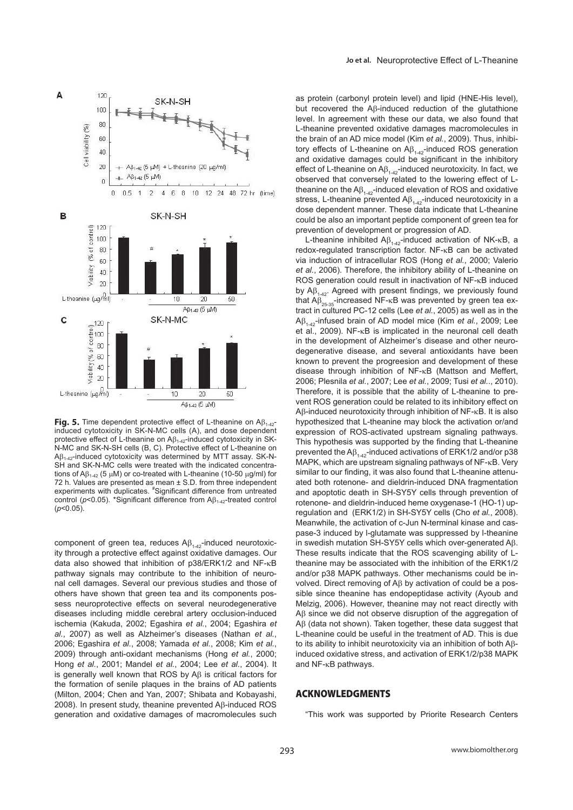

**Fig. 5.** Time dependent protective effect of L-theanine on Aβ<sub>1-42</sub>-<br>induced cytotoxicity in SK-N-MC cells (A), and dose dependent protective effect of L-theanine on  $\mathsf{AB}_{1\text{-}42}$ -induced cytotoxicity in SK-N-MC and SK-N-SH cells (B, C). Protective effect of L-theanine on Aβ1-42-induced cytotoxicity was determined by MTT assay. SK-N-SH and SK-N-MC cells were treated with the indicated concentrations of Aβ<sub>1-42</sub> (5 μM) or co-treated with L-theanine (10-50 μg/ml) for 72 h. Values are presented as mean ± S.D. from three independent<br>experiments with duplicates. <sup>#</sup>Significant difference from untreated control ( $p$ <0.05). \*Significant difference from  $AB$ <sub>1-42</sub>-treated control (*p*<0.05).

component of green tea, reduces  $\mathsf{AB}_{1\text{-}42}$ -induced neurotoxicity through a protective effect against oxidative damages. Our data also showed that inhibition of p38/ERK1/2 and NF-κB pathway signals may contribute to the inhibition of neuronal cell damages. Several our previous studies and those of others have shown that green tea and its components possess neuroprotective effects on several neurodegenerative diseases including middle cerebral artery occlusion-induced ischemia (Kakuda, 2002; Egashira *et al.*, 2004; Egashira *et al.*, 2007) as well as Alzheimer's diseases (Nathan *et al.*, 2006; Egashira *et al.*, 2008; Yamada *et al.*, 2008; Kim *et al.*, 2009) through anti-oxidant mechanisms (Hong *et al.*, 2000; Hong *et al.*, 2001; Mandel *et al.*, 2004; Lee *et al.*, 2004). It is generally well known that ROS by Aβ is critical factors for the formation of senile plaques in the brains of AD patients (Milton, 2004; Chen and Yan, 2007; Shibata and Kobayashi, 2008). In present study, theanine prevented Aβ-induced ROS generation and oxidative damages of macromolecules such as protein (carbonyl protein level) and lipid (HNE-His level), but recovered the Aβ-induced reduction of the glutathione level. In agreement with these our data, we also found that L-theanine prevented oxidative damages macromolecules in the brain of an AD mice model (Kim *et al.*, 2009). Thus, inhibitory effects of L-theanine on  $\mathsf{AB}_{1\text{-}42}$ -induced ROS generation and oxidative damages could be significant in the inhibitory effect of L-theanine on  $AB_{1,42}$ -induced neurotoxicity. In fact, we observed that conversely related to the lowering effect of Ltheanine on the  $AB_{1,42}$ -induced elevation of ROS and oxidative stress, L-theanine prevented  $\mathsf{AB}_{1\text{-}42}$ -induced neurotoxicity in a dose dependent manner. These data indicate that L-theanine could be also an important peptide component of green tea for prevention of development or progression of AD.

L-theanine inhibited  $\mathsf{AB}_{1\text{-}42}$ -induced activation of NK-κB, a redox-regulated transcription factor. NF-κB can be activated via induction of intracellular ROS (Hong *et al.*, 2000; Valerio *et al.*, 2006). Therefore, the inhibitory ability of L-theanine on ROS generation could result in inactivation of NF-κB induced by  $AB_{1.42}$ . Agreed with present findings, we previously found that  $AB_{25.35}$ -increased NF-κB was prevented by green tea extract in cultured PC-12 cells (Lee *et al.*, 2005) as well as in the Aβ1-42-infused brain of AD model mice (Kim *et al.*, 2009; Lee et al., 2009). NF-κB is implicated in the neuronal cell death in the development of Alzheimer's disease and other neurodegenerative disease, and several antioxidants have been known to prevent the progreesion and development of these disease through inhibition of NF-κB (Mattson and Meffert, 2006; Plesnila *et al.*, 2007; Lee *et al.*, 2009; Tusi *et al.*., 2010). Therefore, it is possible that the ability of L-theanine to prevent ROS generation could be related to its inhibitory effect on Aβ-induced neurotoxicity through inhibition of NF-κB. It is also hypothesized that L-theanine may block the activation or/and expression of ROS-activated upstream signaling pathways. This hypothesis was supported by the finding that L-theanine prevented the  $AB_{1.42}$ -induced activations of ERK1/2 and/or p38 MAPK, which are upstream signaling pathways of NF-κB. Very similar to our finding, it was also found that L-theanine attenuated both rotenone- and dieldrin-induced DNA fragmentation and apoptotic death in SH-SY5Y cells through prevention of rotenone- and dieldrin-induced heme oxygenase-1 (HO-1) upregulation and (ERK1/2) in SH-SY5Y cells (Cho *et al.*, 2008). Meanwhile, the activation of c-Jun N-terminal kinase and caspase-3 induced by l-glutamate was suppressed by l-theanine in swedish mutation SH-SY5Y cells which over-generated Aβ. These results indicate that the ROS scavenging ability of Ltheanine may be associated with the inhibition of the ERK1/2 and/or p38 MAPK pathways. Other mechanisms could be involved. Direct removing of Aβ by activation of could be a possible since theanine has endopeptidase activity (Ayoub and Melzig, 2006). However, theanine may not react directly with Aβ since we did not observe disruption of the aggregation of Aβ (data not shown). Taken together, these data suggest that L-theanine could be useful in the treatment of AD. This is due to its ability to inhibit neurotoxicity via an inhibition of both Aβinduced oxidative stress, and activation of ERK1/2/p38 MAPK and NF-κB pathways.

# **ACKNOWLEDGMENTS**

"This work was supported by Priorite Research Centers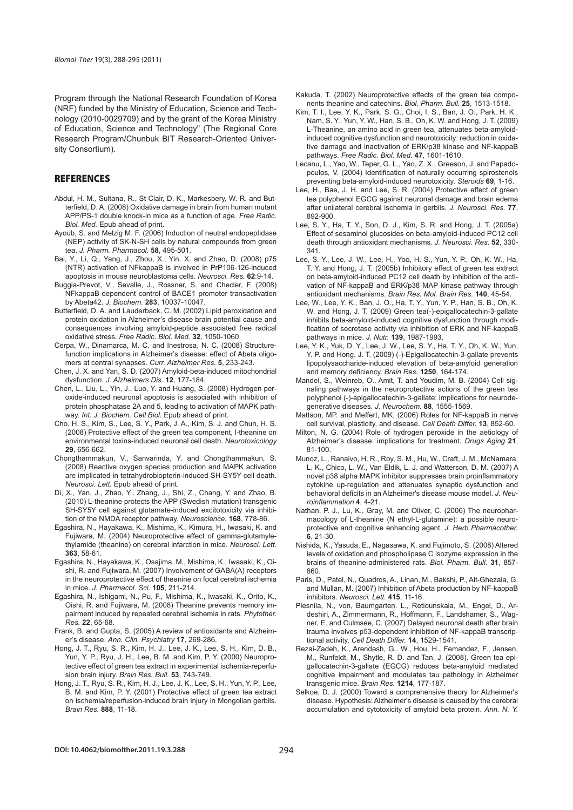Program through the National Research Foundation of Korea (NRF) funded by the Ministry of Education, Science and Technology (2010-0029709) and by the grant of the Korea Ministry of Education, Science and Technology" (The Regional Core Research Program/Chunbuk BIT Research-Oriented University Consortium).

# **REFERENCES**

- Abdul, H. M., Sultana, R., St Clair, D. K., Markesbery, W. R. and Butterfield, D. A. (2008) Oxidative damage in brain from human mutant APP/PS-1 double knock-in mice as a function of age. *Free Radic. Biol. Med.* Epub ahead of print.
- Ayoub, S. and Melzig M. F. (2006) Induction of neutral endopeptidase (NEP) activity of SK-N-SH cells by natural compounds from green tea. *J. Pharm. Pharmacol.* **58**, 495-501.
- Bai, Y., Li, Q., Yang, J., Zhou, X., Yin, X. and Zhao, D. (2008) p75 (NTR) activation of NFkappaB is involved in PrP106-126-induced apoptosis in mouse neuroblastoma cells. *Neurosci. Res.* **62**:9-14.
- Buggia-Prevot, V., Sevalle, J., Rossner, S. and Checler, F. (2008) NFkappaB-dependent control of BACE1 promoter transactivation by Abeta42. *J. Biochem.* **283**, 10037-10047.
- Butterfield, D. A. and Lauderback, C. M. (2002) Lipid peroxidation and protein oxidation in Alzheimer's disease brain potential cause and consequences involving amyloid-peptide associated free radical oxidative stress. *Free Radic. Biol. Med.* **32**, 1050-1060.
- Cerpa, W., Dinamarca, M. C. and Inestrosa, N. C. (2008) Structurefunction implications in Alzheimer's disease: effect of Abeta oligomers at central synapses. *Curr. Alzheimer Res.* **5**, 233-243.
- Chen, J. X. and Yan, S. D. (2007) Amyloid-beta-induced mitochondrial dysfunction. *J. Alzheimers Dis.* **12**, 177-184.
- Chen, L., Liu, L., Yin, J., Luo, Y. and Huang, S. (2008) Hydrogen peroxide-induced neuronal apoptosis is associated with inhibition of protein phosphatase 2A and 5, leading to activation of MAPK pathway. *Int. J. Biochem. Cell Biol.* Epub ahead of print.
- Cho, H. S., Kim, S., Lee, S. Y., Park, J. A., Kim, S. J. and Chun, H. S. (2008) Protective effect of the green tea component, l-theanine on environmental toxins-induced neuronal cell death. *Neurotoxicology*  **29**, 656-662.
- Chongthammakun, V., Sanvarinda, Y. and Chongthammakun, S. (2008) Reactive oxygen species production and MAPK activation are implicated in tetrahydrobiopterin-induced SH-SY5Y cell death. *Neurosci. Lett.* Epub ahead of print.
- Di, X., Yan, J., Zhao, Y., Zhang, J., Shi, Z., Chang, Y. and Zhao, B. (2010) L-theanine protects the APP (Swedish mutation) transgenic SH-SY5Y cell against glutamate-induced excitotoxicity via inhibition of the NMDA receptor pathway. *Neuroscience.* **168**, 778-86.
- Egashira, N., Hayakawa, K., Mishima, K., Kimura, H., Iwasaki, K. and Fujiwara, M. (2004) Neuroprotective effect of gamma-glutamylethylamide (theanine) on cerebral infarction in mice. *Neurosci. Lett.*  **363**, 58-61.
- Egashira, N., Hayakawa, K., Osajima, M., Mishima, K., Iwasaki, K., Oishi, R. and Fujiwara, M. (2007) Involvement of GABA(A) receptors in the neuroprotective effect of theanine on focal cerebral ischemia in mice. *J. Pharmacol. Sci.* **105**, 211-214.
- Egashira, N., Ishigami, N., Pu, F., Mishima, K., Iwasaki, K., Orito, K., Oishi, R. and Fujiwara, M. (2008) Theanine prevents memory impairment induced by repeated cerebral ischemia in rats. *Phytother. Res.* **22**, 65-68.
- Frank, B. and Gupta, S. (2005) A review of antioxidants and Alzheimer's disease. *Ann. Clin. Psychiatry* **17**, 269-286.
- Hong, J. T., Ryu, S. R., Kim, H. J., Lee, J. K., Lee, S. H., Kim, D. B., Yun, Y. P., Ryu, J. H., Lee, B. M. and Kim, P. Y. (2000) Neuroprotective effect of green tea extract in experimental ischemia-reperfusion brain injury. *Brain Res. Bull.* **53**, 743-749.
- Hong, J. T., Ryu, S. R., Kim, H. J., Lee, J. K., Lee, S. H., Yun, Y. P., Lee, B. M. and Kim, P. Y. (2001) Protective effect of green tea extract on ischemia/reperfusion-induced brain injury in Mongolian gerbils. *Brain Res.* **888**, 11-18.
- Kakuda, T. (2002) Neuroprotective effects of the green tea components theanine and catechins. *Biol. Pharm. Bull.* **25**, 1513-1518.
- Kim, T. I., Lee, Y. K., Park, S. G., Choi, I. S., Ban, J. O., Park, H. K., Nam, S. Y., Yun, Y. W., Han, S. B., Oh, K. W. and Hong, J. T. (2009) L-Theanine, an amino acid in green tea, attenuates beta-amyloidinduced cognitive dysfunction and neurotoxicity: reduction in oxidative damage and inactivation of ERK/p38 kinase and NF-kappaB pathways. *Free Radic. Biol. Med.* **47**, 1601-1610.
- Lecanu, L., Yao, W., Teper, G. L., Yao, Z. X., Greeson, J. and Papadopoulos, V. (2004) Identification of naturally occurring spirostenols preventing beta-amyloid-induced neurotoxicity. *Steroids* **69**, 1-16.
- Lee, H., Bae, J. H. and Lee, S. R. (2004) Protective effect of green tea polyphenol EGCG against neuronal damage and brain edema after unilateral cerebral ischemia in gerbils. *J. Neurosci. Res.* **77**, 892-900.
- Lee, S. Y., Ha, T. Y., Son, D. J., Kim, S. R. and Hong, J. T. (2005a) Effect of sesaminol glucosides on beta-amyloid-induced PC12 cell death through antioxidant mechanisms. *J. Neurosci. Res.* **52**, 330- 341.
- Lee, S. Y., Lee, J. W., Lee, H., Yoo, H. S., Yun, Y. P., Oh, K. W., Ha, T. Y. and Hong, J. T. (2005b) Inhibitory effect of green tea extract on beta-amyloid-induced PC12 cell death by inhibition of the activation of NF-kappaB and ERK/p38 MAP kinase pathway through antioxidant mechanisms. *Brain Res. Mol. Brain Res.* **140**, 45-54.
- Lee, W., Lee, Y. K., Ban, J. O., Ha, T. Y., Yun, Y. P., Han, S. B., Oh, K. W. and Hong, J. T. (2009) Green tea(-)-epigallocatechin-3-gallate inhibits beta-amyloid-induced cognitive dysfunction through modification of secretase activity via inhibition of ERK and NF-kappaB pathways in mice. *J. Nutr.* **139**, 1987-1993.
- Lee, Y. K., Yuk, D. Y., Lee, J. W., Lee, S. Y., Ha, T. Y., Oh, K. W., Yun, Y. P. and Hong, J. T. (2009) (-)-Epigallocatechin-3-gallate prevents lipopolysaccharide-induced elevation of beta-amyloid generation and memory deficiency. *Brain Res.* **1250**, 164-174.
- Mandel, S., Weinreb, O., Amit, T. and Youdim, M. B. (2004) Cell signaling pathways in the neuroprotective actions of the green tea polyphenol (-)-epigallocatechin-3-gallate: implications for neurodegenerative diseases. *J. Neurochem.* **88**, 1555-1569.
- Mattson, MP. and Meffert, MK. (2006) Roles for NF-kappaB in nerve cell survival, plasticity, and disease. *Cell Death Differ.* **13**, 852-60.
- Milton, N. G. (2004) Role of hydrogen peroxide in the aetiology of Alzheimer's disease: implications for treatment. *Drugs Aging* **21**, 81-100.
- Munoz, L., Ranaivo, H. R., Roy, S. M., Hu, W., Craft, J. M., McNamara, L. K., Chico, L. W., Van Eldik, L. J. and Watterson, D. M. (2007) A novel p38 alpha MAPK inhibitor suppresses brain proinflammatory cytokine up-regulation and attenuates synaptic dysfunction and behavioral deficits in an Alzheimer's disease mouse model. J. Neu*roinfl ammation* **4**, 4-21.
- Nathan, P. J., Lu, K., Gray, M. and Oliver, C. (2006) The neuropharmacology of L-theanine (N ethyl-L-glutamine): a possible neuroprotective and cognitive enhancing agent. *J. Herb Pharmacother.*  **6**, 21-30.
- Nishida, K., Yasuda, E., Nagasawa, K. and Fujimoto, S. (2008) Altered levels of oxidation and phospholipase C isozyme expression in the brains of theanine-administered rats. *Biol. Pharm. Bull.* **31**, 857- 860.
- Paris, D., Patel, N., Quadros, A., Linan, M., Bakshi, P., Ait-Ghezala, G. and Mullan, M. (2007) Inhibition of Abeta production by NF-kappaB inhibitors. *Neurosci. Lett.* **415**, 11-16.
- Plesnila, N., von, Baumgarten. L., Retiounskaia, M., Engel, D., Ardeshiri, A., Zimmermann, R., Hoffmann, F., Landshamer, S., Wagner, E. and Culmsee, C. (2007) Delayed neuronal death after brain trauma involves p53-dependent inhibition of NF-kappaB transcriptional activity. *Cell Death Differ.* **14**, 1529-1541.
- Rezai-Zadeh, K., Arendash, G.. W., Hou, H., Femandez, F., Jensen, M., Runfeldt, M., Shytle, R. D. and Tan, J. (2008). Green tea epigallocatechin-3-gallate (EGCG) reduces beta-amyloid mediated cognitive impairment and modulates tau pathology in Alzheimer transgenic mice. *Brain Res.* **1214**, 177-187.
- Selkoe, D. J. (2000) Toward a comprehensive theory for Alzheimer's disease. Hypothesis: Alzheimer's disease is caused by the cerebral accumulation and cytotoxicity of amyloid beta protein. *Ann. N. Y.*